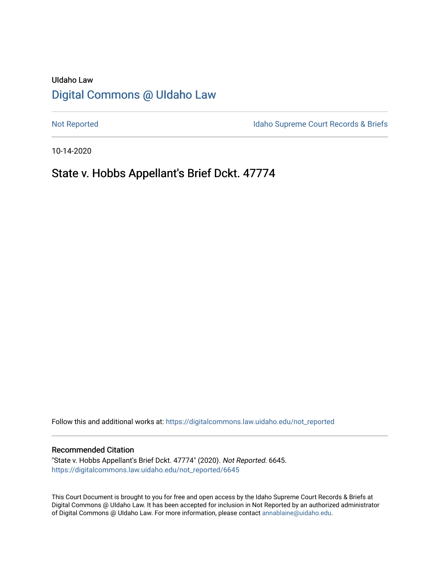# UIdaho Law [Digital Commons @ UIdaho Law](https://digitalcommons.law.uidaho.edu/)

[Not Reported](https://digitalcommons.law.uidaho.edu/not_reported) **Idaho Supreme Court Records & Briefs** 

10-14-2020

# State v. Hobbs Appellant's Brief Dckt. 47774

Follow this and additional works at: [https://digitalcommons.law.uidaho.edu/not\\_reported](https://digitalcommons.law.uidaho.edu/not_reported?utm_source=digitalcommons.law.uidaho.edu%2Fnot_reported%2F6645&utm_medium=PDF&utm_campaign=PDFCoverPages) 

### Recommended Citation

"State v. Hobbs Appellant's Brief Dckt. 47774" (2020). Not Reported. 6645. [https://digitalcommons.law.uidaho.edu/not\\_reported/6645](https://digitalcommons.law.uidaho.edu/not_reported/6645?utm_source=digitalcommons.law.uidaho.edu%2Fnot_reported%2F6645&utm_medium=PDF&utm_campaign=PDFCoverPages)

This Court Document is brought to you for free and open access by the Idaho Supreme Court Records & Briefs at Digital Commons @ UIdaho Law. It has been accepted for inclusion in Not Reported by an authorized administrator of Digital Commons @ UIdaho Law. For more information, please contact [annablaine@uidaho.edu](mailto:annablaine@uidaho.edu).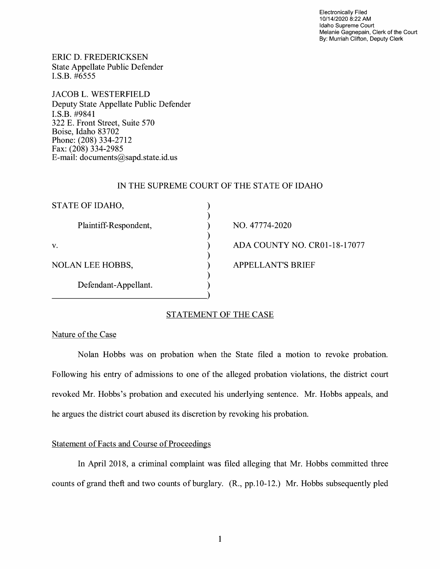Electronically Filed 10/14/2020 8:22 AM Idaho Supreme Court Melanie Gagnepain, Clerk of the Court By: Murriah Clifton, Deputy Clerk

ERIC D. FREDERICKSEN State Appellate Public Defender I.S.B. #6555

JACOB L. WESTERFIELD Deputy State Appellate Public Defender I.S.B. #9841 322 E. Front Street, Suite 570 Boise, Idaho 83702 Phone: (208) 334-2712 Fax: (208) 334-2985 E-mail: documents@sapd.state.id. us

### IN THE SUPREME COURT OF THE STATE OF IDAHO

| STATE OF IDAHO,         |                              |
|-------------------------|------------------------------|
| Plaintiff-Respondent,   | NO. 47774-2020               |
| V.                      | ADA COUNTY NO. CR01-18-17077 |
| <b>NOLAN LEE HOBBS,</b> | <b>APPELLANT'S BRIEF</b>     |
| Defendant-Appellant.    |                              |
|                         |                              |

## STATEMENT OF THE CASE

## Nature of the Case

Nolan Hobbs was on probation when the State filed a motion to revoke probation. Following his entry of admissions to one of the alleged probation violations, the district court revoked Mr. Hobbs's probation and executed his underlying sentence. Mr. Hobbs appeals, and he argues the district court abused its discretion by revoking his probation.

## Statement of Facts and Course of Proceedings

In April 2018, a criminal complaint was filed alleging that Mr. Hobbs committed three counts of grand theft and two counts of burglary. (R., pp.10-12.) Mr. Hobbs subsequently pied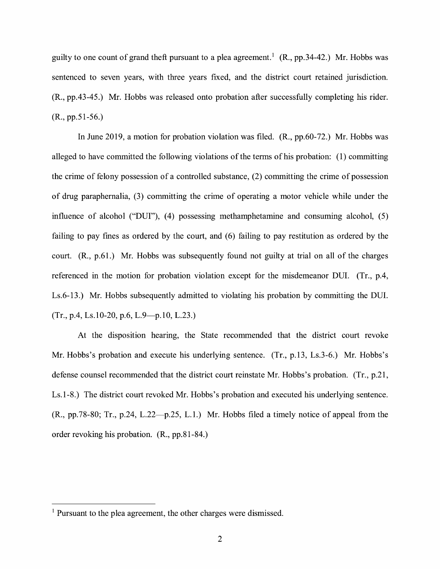guilty to one count of grand theft pursuant to a plea agreement.<sup>1</sup> (R., pp. 34-42.) Mr. Hobbs was sentenced to seven years, with three years fixed, and the district court retained jurisdiction. (R., pp.43-45.) Mr. Hobbs was released onto probation after successfully completing his rider. (R., pp.51-56.)

In June 2019, a motion for probation violation was filed. (R., pp.60-72.) Mr. Hobbs was alleged to have committed the following violations of the terms of his probation: (1) committing the crime of felony possession of a controlled substance, (2) committing the crime of possession of drug paraphernalia, (3) committing the crime of operating a motor vehicle while under the influence of alcohol ("DUI"), (4) possessing methamphetamine and consuming alcohol, (5) failing to pay fines as ordered by the court, and  $(6)$  failing to pay restitution as ordered by the court. (R., p.61.) Mr. Hobbs was subsequently found not guilty at trial on all of the charges referenced in the motion for probation violation except for the misdemeanor DUI. (Tr., p.4, Ls.6-13.) Mr. Hobbs subsequently admitted to violating his probation by committing the DUI.  $(Tr., p.4, Ls.10-20, p.6, L.9-p.10, L.23.)$ 

At the disposition hearing, the State recommended that the district court revoke Mr. Hobbs's probation and execute his underlying sentence. (Tr., p.13, Ls.3-6.) Mr. Hobbs's defense counsel recommended that the district court reinstate Mr. Hobbs's probation. (Tr., p.21, Ls.1-8.) The district court revoked Mr. Hobbs's probation and executed his underlying sentence.  $(R., pp.78-80; Tr., p.24, L.22—p.25, L.1.)$  Mr. Hobbs filed a timely notice of appeal from the order revoking his probation. (R., pp.81-84.)

<sup>&</sup>lt;sup>1</sup> Pursuant to the plea agreement, the other charges were dismissed.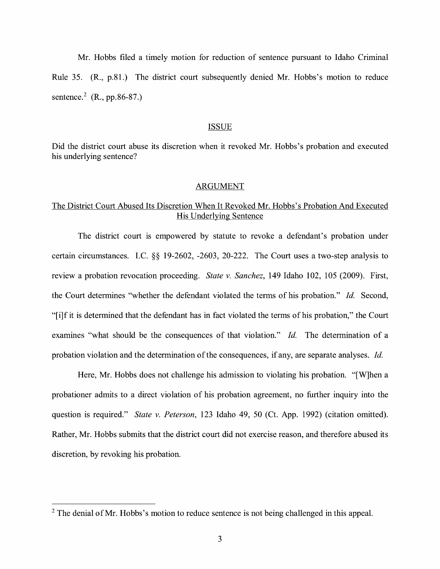Mr. Hobbs filed a timely motion for reduction of sentence pursuant to Idaho Criminal Rule 35. (R., p.81.) The district court subsequently denied Mr. Hobbs's motion to reduce sentence.<sup>2</sup> (R., pp.86-87.)

#### ISSUE

Did the district court abuse its discretion when it revoked Mr. Hobbs's probation and executed his underlying sentence?

### ARGUMENT

# The District Court Abused Its Discretion When It Revoked Mr. Hobbs's Probation And Executed His Underlying Sentence

The district court is empowered by statute to revoke a defendant's probation under certain circumstances. LC. §§ 19-2602, -2603, 20-222. The Court uses a two-step analysis to review a probation revocation proceeding. *State v. Sanchez,* 149 Idaho 102, 105 (2009). First, the Court determines "whether the defendant violated the terms of his probation." *Id.* Second, "[ i] f it is determined that the defendant has in fact violated the terms of his probation," the Court examines "what should be the consequences of that violation." *Id.* The determination of a probation violation and the determination of the consequences, if any, are separate analyses. *Id.* 

Here, Mr. Hobbs does not challenge his admission to violating his probation. "[W]hen a probationer admits to a direct violation of his probation agreement, no further inquiry into the question is required." *State v. Peterson,* 123 Idaho 49, 50 (Ct. App. 1992) (citation omitted). Rather, Mr. Hobbs submits that the district court did not exercise reason, and therefore abused its discretion, by revoking his probation.

<sup>&</sup>lt;sup>2</sup> The denial of Mr. Hobbs's motion to reduce sentence is not being challenged in this appeal.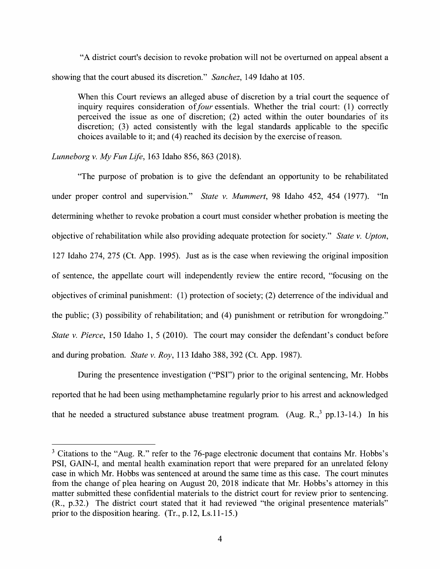"A district court's decision to revoke probation will not be overturned on appeal absent a showing that the court abused its discretion." *Sanchez,* 149 Idaho at 105.

When this Court reviews an alleged abuse of discretion by a trial court the sequence of inquiry requires consideration of *four* essentials. Whether the trial court: (1) correctly perceived the issue as one of discretion; (2) acted within the outer boundaries of its discretion; (3) acted consistently with the legal standards applicable to the specific choices available to it; and (4) reached its decision by the exercise of reason.

*Lunneborg v. My Fun Life,* 163 Idaho 856, 863 (2018).

"The purpose of probation is to give the defendant an opportunity to be rehabilitated under proper control and supervision." *State v. Mummert,* 98 Idaho 452, 454 (1977). "In determining whether to revoke probation a court must consider whether probation is meeting the objective of rehabilitation while also providing adequate protection for society." *State v. Upton,*  127 Idaho 274, 275 (Ct. App. 1995). Just as is the case when reviewing the original imposition of sentence, the appellate court will independently review the entire record, "focusing on the objectives of criminal punishment: (1) protection of society; (2) deterrence of the individual and the public; (3) possibility of rehabilitation; and (4) punishment or retribution for wrongdoing." *State v. Pierce,* 150 Idaho 1, 5 (2010). The court may consider the defendant's conduct before and during probation. *State v. Roy,* 113 Idaho 388, 392 (Ct. App. 1987).

During the presentence investigation ("PSI") prior to the original sentencing, Mr. Hobbs reported that he had been using methamphetamine regularly prior to his arrest and acknowledged that he needed a structured substance abuse treatment program. (Aug.  $R_{1,3}^{3}$  pp.13-14.) In his

 $3$  Citations to the "Aug. R." refer to the 76-page electronic document that contains Mr. Hobbs's **PSI,** GAIN-I, and mental health examination report that were prepared for an unrelated felony case in which Mr. Hobbs was sentenced at around the same time as this case. The court minutes from the change of plea hearing on August 20, 2018 indicate that Mr. Hobbs's attorney in this matter submitted these confidential materials to the district court for review prior to sentencing. **(R.,** p.32.) The district court stated that it had reviewed "the original presentence materials" prior to the disposition hearing. (Tr., p.12, Ls.11-15.)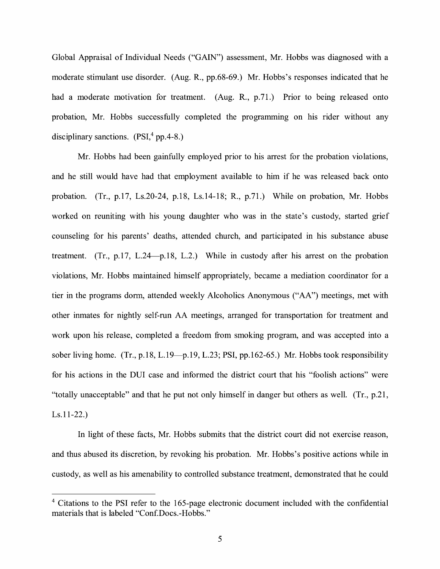Global Appraisal of Individual Needs ("GAIN") assessment, Mr. Hobbs was diagnosed with a moderate stimulant use disorder. (Aug. **R.,** pp.68-69.) Mr. Hobbs's responses indicated that he had a moderate motivation for treatment. (Aug. R., p.71.) Prior to being released onto probation, Mr. Hobbs successfully completed the programming on his rider without any disciplinary sanctions.  $(PSI<sup>4</sup> pp.4-8.)$ 

Mr. Hobbs had been gainfully employed prior to his arrest for the probation violations, and he still would have had that employment available to him if he was released back onto probation. (Tr., p.17, Ls.20-24, p.18, Ls.14-18; R., p.71.) While on probation, Mr. Hobbs worked on reuniting with his young daughter who was in the state's custody, started grief counseling for his parents' deaths, attended church, and participated in his substance abuse treatment. (Tr., p.17, L.24 $-p.18$ , L.2.) While in custody after his arrest on the probation violations, Mr. Hobbs maintained himself appropriately, became a mediation coordinator for a tier in the programs dorm, attended weekly Alcoholics Anonymous ("AA") meetings, met with other inmates for nightly self-run AA meetings, arranged for transportation for treatment and work upon his release, completed a freedom from smoking program, and was accepted into a sober living home. (Tr., p.18, L.19-p.19, L.23; PSI, pp.162-65.) Mr. Hobbs took responsibility for his actions in the DUI case and informed the district court that his "foolish actions" were "totally unacceptable" and that he put not only himself in danger but others as well. (Tr., p.21, Ls.11-22.)

In light of these facts, Mr. Hobbs submits that the district court did not exercise reason, and thus abused its discretion, by revoking his probation. Mr. Hobbs's positive actions while in custody, as well as his amenability to controlled substance treatment, demonstrated that he could

<sup>&</sup>lt;sup>4</sup> Citations to the PSI refer to the 165-page electronic document included with the confidential materials that is labeled "Conf.Docs.-Hobbs."